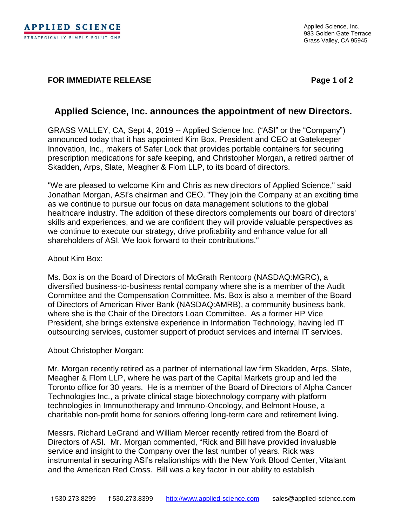## **FOR IMMEDIATE RELEASE Page 1 of 2**

# **Applied Science, Inc. announces the appointment of new Directors.**

GRASS VALLEY, CA, Sept 4, 2019 -- Applied Science Inc. ("ASI" or the "Company") announced today that it has appointed Kim Box, President and CEO at Gatekeeper Innovation, Inc., makers of Safer Lock that provides portable containers for securing prescription medications for safe keeping, and Christopher Morgan, a retired partner of Skadden, Arps, Slate, Meagher & Flom LLP, to its board of directors.

"We are pleased to welcome Kim and Chris as new directors of Applied Science," said Jonathan Morgan, ASI's chairman and CEO. "They join the Company at an exciting time as we continue to pursue our focus on data management solutions to the global healthcare industry. The addition of these directors complements our board of directors' skills and experiences, and we are confident they will provide valuable perspectives as we continue to execute our strategy, drive profitability and enhance value for all shareholders of ASI. We look forward to their contributions."

## About Kim Box:

Ms. Box is on the Board of Directors of McGrath Rentcorp (NASDAQ:MGRC), a diversified business-to-business rental company where she is a member of the Audit Committee and the Compensation Committee. Ms. Box is also a member of the Board of Directors of American River Bank (NASDAQ:AMRB), a community business bank, where she is the Chair of the Directors Loan Committee. As a former HP Vice President, she brings extensive experience in Information Technology, having led IT outsourcing services, customer support of product services and internal IT services.

## About Christopher Morgan:

Mr. Morgan recently retired as a partner of international law firm Skadden, Arps, Slate, Meagher & Flom LLP, where he was part of the Capital Markets group and led the Toronto office for 30 years. He is a member of the Board of Directors of Alpha Cancer Technologies Inc., a private clinical stage biotechnology company with platform technologies in Immunotherapy and Immuno-Oncology, and Belmont House, a charitable non-profit home for seniors offering long-term care and retirement living.

Messrs. Richard LeGrand and William Mercer recently retired from the Board of Directors of ASI. Mr. Morgan commented, "Rick and Bill have provided invaluable service and insight to the Company over the last number of years. Rick was instrumental in securing ASI's relationships with the New York Blood Center, Vitalant and the American Red Cross. Bill was a key factor in our ability to establish